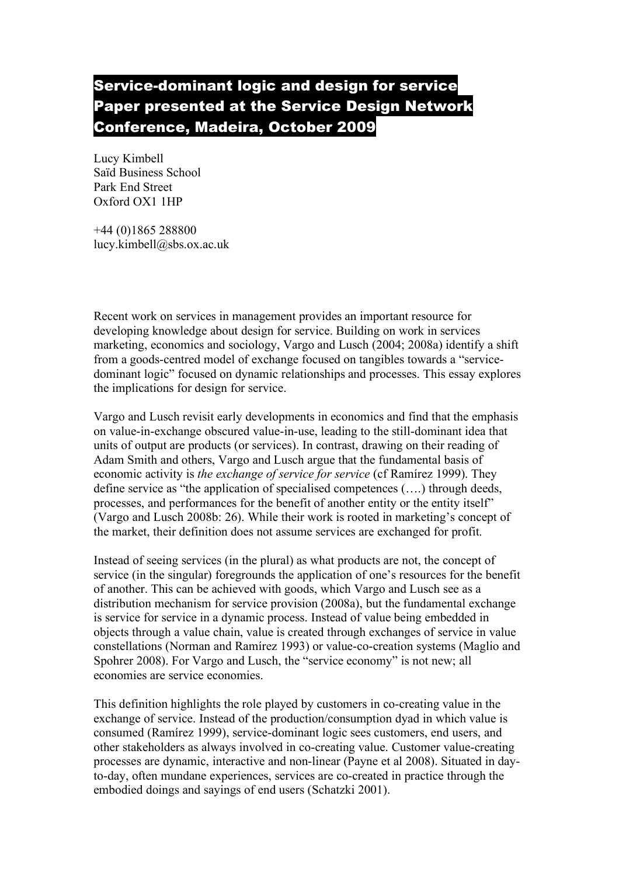## Service-dominant logic and design for service Paper presented at the Service Design Network Conference, Madeira, October 2009

Lucy Kimbell Saïd Business School Park End Street Oxford OX1 1HP

+44 (0)1865 288800 lucy.kimbell@sbs.ox.ac.uk

Recent work on services in management provides an important resource for developing knowledge about design for service. Building on work in services marketing, economics and sociology, Vargo and Lusch (2004; 2008a) identify a shift from a goods-centred model of exchange focused on tangibles towards a "servicedominant logic" focused on dynamic relationships and processes. This essay explores the implications for design for service.

Vargo and Lusch revisit early developments in economics and find that the emphasis on value-in-exchange obscured value-in-use, leading to the still-dominant idea that units of output are products (or services). In contrast, drawing on their reading of Adam Smith and others, Vargo and Lusch argue that the fundamental basis of economic activity is *the exchange of service for service* (cf Ramírez 1999). They define service as "the application of specialised competences (….) through deeds, processes, and performances for the benefit of another entity or the entity itself" (Vargo and Lusch 2008b: 26). While their work is rooted in marketing's concept of the market, their definition does not assume services are exchanged for profit.

Instead of seeing services (in the plural) as what products are not, the concept of service (in the singular) foregrounds the application of one's resources for the benefit of another. This can be achieved with goods, which Vargo and Lusch see as a distribution mechanism for service provision (2008a), but the fundamental exchange is service for service in a dynamic process. Instead of value being embedded in objects through a value chain, value is created through exchanges of service in value constellations (Norman and Ramírez 1993) or value-co-creation systems (Maglio and Spohrer 2008). For Vargo and Lusch, the "service economy" is not new; all economies are service economies.

This definition highlights the role played by customers in co-creating value in the exchange of service. Instead of the production/consumption dyad in which value is consumed (Ramírez 1999), service-dominant logic sees customers, end users, and other stakeholders as always involved in co-creating value. Customer value-creating processes are dynamic, interactive and non-linear (Payne et al 2008). Situated in dayto-day, often mundane experiences, services are co-created in practice through the embodied doings and sayings of end users (Schatzki 2001).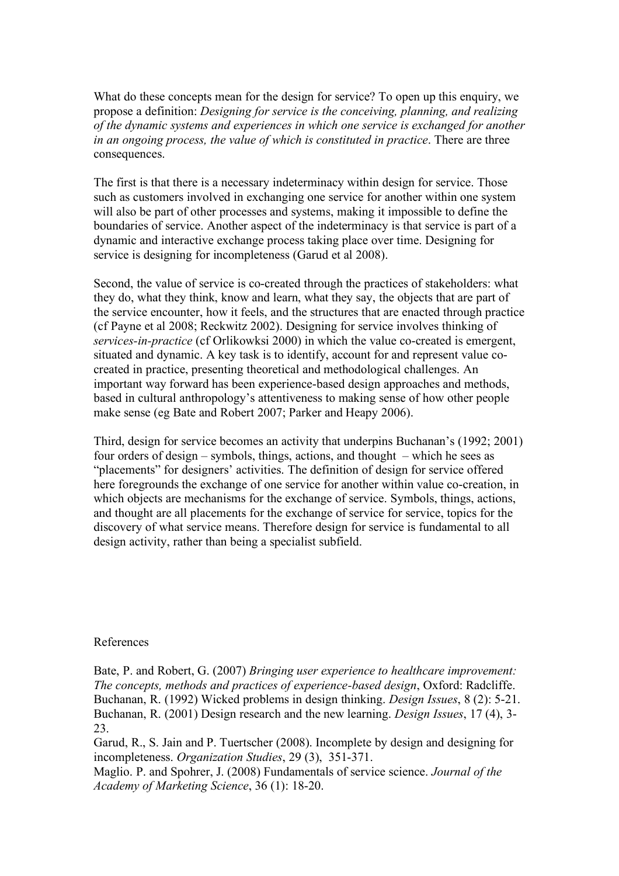What do these concepts mean for the design for service? To open up this enquiry, we propose a definition: *Designing for service is the conceiving, planning, and realizing of the dynamic systems and experiences in which one service is exchanged for another in an ongoing process, the value of which is constituted in practice*. There are three consequences.

The first is that there is a necessary indeterminacy within design for service. Those such as customers involved in exchanging one service for another within one system will also be part of other processes and systems, making it impossible to define the boundaries of service. Another aspect of the indeterminacy is that service is part of a dynamic and interactive exchange process taking place over time. Designing for service is designing for incompleteness (Garud et al 2008).

Second, the value of service is co-created through the practices of stakeholders: what they do, what they think, know and learn, what they say, the objects that are part of the service encounter, how it feels, and the structures that are enacted through practice (cf Payne et al 2008; Reckwitz 2002). Designing for service involves thinking of *services-in-practice* (cf Orlikowksi 2000) in which the value co-created is emergent, situated and dynamic. A key task is to identify, account for and represent value cocreated in practice, presenting theoretical and methodological challenges. An important way forward has been experience-based design approaches and methods, based in cultural anthropology's attentiveness to making sense of how other people make sense (eg Bate and Robert 2007; Parker and Heapy 2006).

Third, design for service becomes an activity that underpins Buchanan's (1992; 2001) four orders of design – symbols, things, actions, and thought – which he sees as "placements" for designers' activities. The definition of design for service offered here foregrounds the exchange of one service for another within value co-creation, in which objects are mechanisms for the exchange of service. Symbols, things, actions, and thought are all placements for the exchange of service for service, topics for the discovery of what service means. Therefore design for service is fundamental to all design activity, rather than being a specialist subfield.

## References

Bate, P. and Robert, G. (2007) *Bringing user experience to healthcare improvement: The concepts, methods and practices of experience-based design*, Oxford: Radcliffe. Buchanan, R. (1992) Wicked problems in design thinking. *Design Issues*, 8 (2): 5-21. Buchanan, R. (2001) Design research and the new learning. *Design Issues*, 17 (4), 3- 23.

Garud, R., S. Jain and P. Tuertscher (2008). Incomplete by design and designing for incompleteness. *Organization Studies*, 29 (3), 351-371.

Maglio. P. and Spohrer, J. (2008) Fundamentals of service science. *Journal of the Academy of Marketing Science*, 36 (1): 18-20.